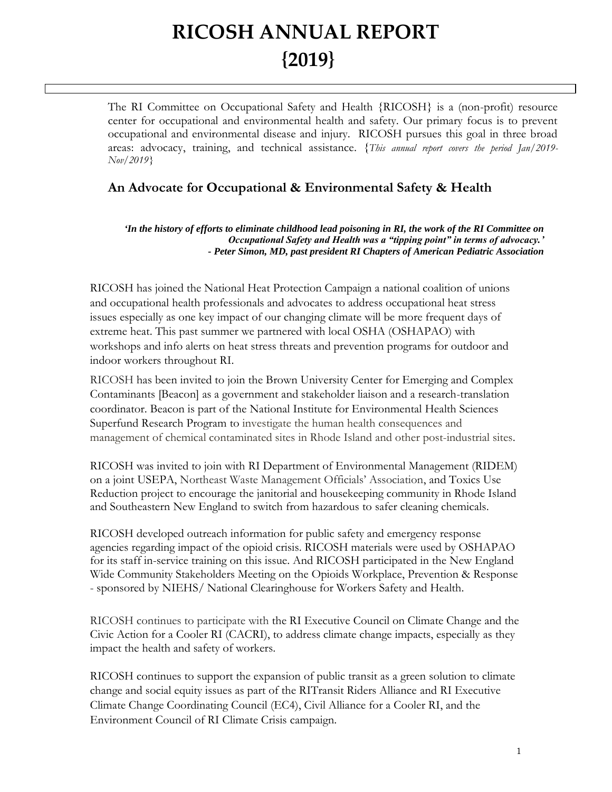# **RICOSH ANNUAL REPORT {2019}**

 $\overline{a}$ 

The RI Committee on Occupational Safety and Health {RICOSH} is a (non-profit) resource center for occupational and environmental health and safety. Our primary focus is to prevent occupational and environmental disease and injury. RICOSH pursues this goal in three broad areas: advocacy, training, and technical assistance. {*This annual report covers the period Jan/2019- Nov/2019}*

### **An Advocate for Occupational & Environmental Safety & Health**

*'In the history of efforts to eliminate childhood lead poisoning in RI, the work of the RI Committee on Occupational Safety and Health was a "tipping point" in terms of advocacy.' - Peter Simon, MD, past president RI Chapters of American Pediatric Association*

RICOSH has joined the National Heat Protection Campaign a national coalition of unions and occupational health professionals and advocates to address occupational heat stress issues especially as one key impact of our changing climate will be more frequent days of extreme heat. This past summer we partnered with local OSHA (OSHAPAO) with workshops and info alerts on heat stress threats and prevention programs for outdoor and indoor workers throughout RI.

RICOSH has been invited to join the Brown University Center for Emerging and Complex Contaminants [Beacon] as a government and stakeholder liaison and a research-translation coordinator. Beacon is part of the National Institute for Environmental Health Sciences Superfund Research Program to investigate the human health consequences and management of chemical contaminated sites in Rhode Island and other post-industrial sites.

RICOSH was invited to join with RI Department of Environmental Management (RIDEM) on a joint USEPA, Northeast Waste Management Officials' Association, and Toxics Use Reduction project to encourage the janitorial and housekeeping community in Rhode Island and Southeastern New England to switch from hazardous to safer cleaning chemicals.

RICOSH developed outreach information for public safety and emergency response agencies regarding impact of the opioid crisis. RICOSH materials were used by OSHAPAO for its staff in-service training on this issue. And RICOSH participated in the New England Wide Community Stakeholders Meeting on the Opioids Workplace, Prevention & Response - sponsored by NIEHS/ National Clearinghouse for Workers Safety and Health.

RICOSH continues to participate with the RI Executive Council on Climate Change and the Civic Action for a Cooler RI (CACRI), to address climate change impacts, especially as they impact the health and safety of workers.

RICOSH continues to support the expansion of public transit as a green solution to climate change and social equity issues as part of the RITransit Riders Alliance and RI Executive Climate Change Coordinating Council (EC4), Civil Alliance for a Cooler RI, and the Environment Council of RI Climate Crisis campaign.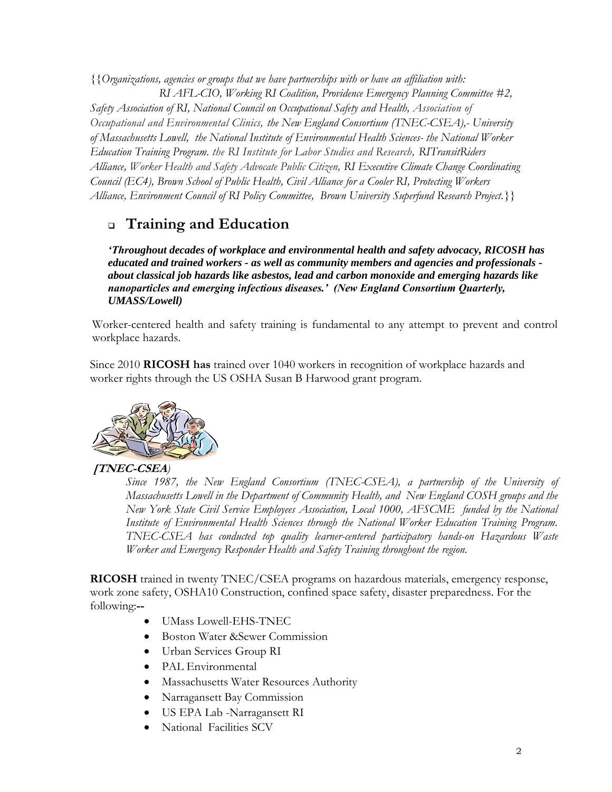*{{Organizations, agencies or groups that we have partnerships with or have an affiliation with: RI AFL-CIO, Working RI Coalition, Providence Emergency Planning Committee #2, Safety Association of RI, National Council on Occupational Safety and Health, Association of Occupational and Environmental Clinics, the New England Consortium (TNEC-CSEA),- University of Massachusetts Lowell, the National Institute of Environmental Health Sciences- the National Worker Education Training Program. the RI Institute for Labor Studies and Research, RITransitRiders Alliance, Worker Health and Safety Advocate Public Citizen, RI Executive Climate Change Coordinating Council (EC4), Brown School of Public Health, Civil Alliance for a Cooler RI, Protecting Workers Alliance, Environment Council of RI Policy Committee, Brown University Superfund Research Project.}}*

## ❑ **Training and Education**

*'Throughout decades of workplace and environmental health and safety advocacy, RICOSH has educated and trained workers - as well as community members and agencies and professionals about classical job hazards like asbestos, lead and carbon monoxide and emerging hazards like nanoparticles and emerging infectious diseases.' (New England Consortium Quarterly, UMASS/Lowell)*

Worker-centered health and safety training is fundamental to any attempt to prevent and control workplace hazards.

Since 2010 **RICOSH has** trained over 1040 workers in recognition of workplace hazards and worker rights through the US OSHA Susan B Harwood grant program.



#### **[TNEC-CSEA***)*

*Since 1987, the New England Consortium (TNEC-CSEA), a partnership of the University of Massachusetts Lowell in the Department of Community Health, and New England COSH groups and the New York State Civil Service Employees Association, Local 1000, AFSCME funded by the National Institute of Environmental Health Sciences through the National Worker Education Training Program. TNEC-CSEA has conducted top quality learner-centered participatory hands-on Hazardous Waste Worker and Emergency Responder Health and Safety Training throughout the region.*

**RICOSH** trained in twenty TNEC/CSEA programs on hazardous materials, emergency response, work zone safety, OSHA10 Construction, confined space safety, disaster preparedness. For the following:**--**

- UMass Lowell-EHS-TNEC
- Boston Water & Sewer Commission
- Urban Services Group RI
- PAL Environmental
- Massachusetts Water Resources Authority
- Narragansett Bay Commission
- US EPA Lab -Narragansett RI
- National Facilities SCV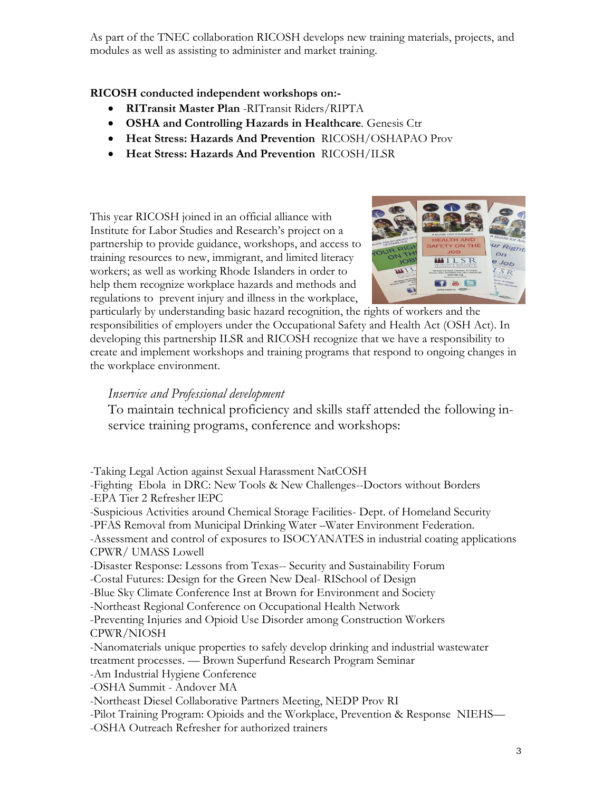As part of the TNEC collaboration RICOSH develops new training materials, projects, and modules as well as assisting to administer and market training.

#### **RICOSH conducted independent workshops on:-**

- **RITransit Master Plan** -RITransit Riders/RIPTA
- **OSHA and Controlling Hazards in Healthcare***.* Genesis Ctr
- **Heat Stress: Hazards And Prevention** RICOSH/OSHAPAO Prov
- **Heat Stress: Hazards And Prevention** RICOSH/ILSR

This year RICOSH joined in an official alliance with Institute for Labor Studies and Research's project on a partnership to provide guidance, workshops, and access to training resources to new, immigrant, and limited literacy workers; as well as working Rhode Islanders in order to help them recognize workplace hazards and methods and regulations to prevent injury and illness in the workplace,



particularly by understanding basic hazard recognition, the rights of workers and the responsibilities of employers under the Occupational Safety and Health Act (OSH Act). In developing this partnership ILSR and RICOSH recognize that we have a responsibility to create and implement workshops and training programs that respond to ongoing changes in the workplace environment.

#### *Inservice and Professional development*

To maintain technical proficiency and skills staff attended the following inservice training programs, conference and workshops:

-Taking Legal Action against Sexual Harassment NatCOSH -Fighting Ebola in DRC: [New Tools & New Challenges-](http://elink.clickdimensions.com/c/4/?T=NjQ4Mjk1MDY%3AMDItYjE5MDE3LWVhMzU4ZGYxZTYyYjQwYmI4NWUzYmNmMGQ4ZmQ3ZDY0%3AamFzY2VsZW56YUBnbWFpbC5jb20%3AY29udGFjdC03ZGVjM2JhYTAyNjVlODExOTQ0MzAwNTA1NjhmNDUxOS1lMTYyYzI2YzhkM2Q0YjFiOWJkODA0OWEyY2EwNThhOQ%3AZmFsc2U%3AMg%3A%3AaHR0cHM6Ly93d3cuZXZlbnRicml0ZS5jb20vZS93ZWJjYXN0LWZpZ2h0aW5nLWVib2xhLWluLWRyYy1uZXctdG9vbHMtbmV3LWNoYWxsZW5nZXMtdGlja2V0cy01NDkzMzg3OTcxMz9hZmY9ZW1haWwmX2NsZGVlPWFtRnpZMlZzWlc1NllVQm5iV0ZwYkM1amIyMCUzZCZyZWNpcGllbnRpZD1jb250YWN0LTdkZWMzYmFhMDI2NWU4MTE5)-Doctors without Borders -EPA Tier 2 Refresher lEPC -Suspicious Activities around Chemical Storage Facilities- Dept. of Homeland Security -PFAS Removal from Municipal Drinking Water –Water Environment Federation. -Assessment and control of exposures to ISOCYANATES in industrial coating applications CPWR/ UMASS Lowell -Disaster Response: Lessons from Texas-- Security and Sustainability Forum -Costal Futures: Design for the Green New Deal- RISchool of Design -Blue Sky Climate Conference Inst at Brown for Environment and Society -Northeast Regional Conference on Occupational Health Network -Preventing Injuries and Opioid Use Disorder among Construction Workers CPWR/NIOSH -Nanomaterials unique properties to safely develop drinking and industrial wastewater treatment processes. — Brown Superfund Research Program Seminar -Am Industrial Hygiene Conference -OSHA Summit - Andover MA -Northeast Diesel Collaborative Partners Meeting, NEDP Prov RI -Pilot Training Program: Opioids and the Workplace, Prevention & Response NIEHS— -OSHA Outreach Refresher for authorized trainers